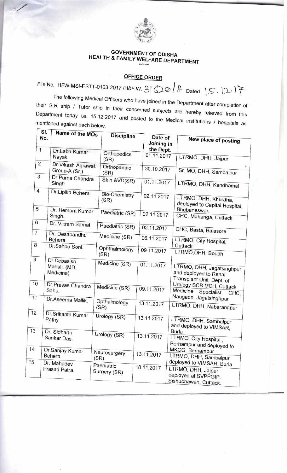

## **GOVERNMENT OF ODISHA HEALTH & FAMILY WELFARE DEPARTMENT \*\*\*\*\***

## **OFFICE ORDER**

| <b>GOVERNMENT OF ODISHA</b><br><b>HEALTH &amp; FAMILY WELFARE DEPARTMENT</b><br>*****<br><b>OFFICE ORDER</b><br>File No. HFW-MSI-ESTT-0163-2017 /H&F.W. $3600$ ff. Dated $5.11$<br>The following Medical Officers who have joined in the Department after completion of<br>their S.R ship / Tutor ship in their concerned subjects are hereby relieved from this<br>Department today i.e. 15.12.2017 and posted to the Medical institutions / hospitals as<br>mentioned against each below.<br>SI.<br>Name of the MOs<br><b>Discipline</b><br>Date of<br>No.<br>New place of posting<br>Joining in<br>the Dept.<br>$\overline{1}$<br>Dr.Laba Kumar<br>Orthopedics<br>01.11.2017<br>LTRMO, DHH, Jajpur<br>Nayak<br>(SR)<br>2<br>Dr. Vikash Agrawal.<br>Orthopaedic<br>30.10.2017<br>Sr. MO, DHH, Sambalpur<br>Group-A (Sr.)<br>(SR)<br>3<br>Dr.Purna Chandra<br>Skin & VD(SR)<br>01.11.2017<br>Singh<br>LTRMO, DHH, Kandhamal<br>Dr.Lipika Behera.<br><b>Bio-Chemistry</b><br>02.11.2017<br>LTRMO, DHH, Khurdha,<br>(SR)<br>deployed to Capital Hospital,<br>5<br><b>Bhubaneswar</b> .<br>Dr. Hemant Kumar<br>Paediatric (SR)<br>02.11.2017<br>Singh.<br>CHC, Mahanga, Cuttack<br> 6<br>Dr. Vikram Samal<br>Paediatric (SR)<br>02.11.2017<br>CHC, Basta, Balasore<br>$\overline{ }$<br>Dr. Desabandhu<br>Medicine (SR)<br>06.11.2017<br>Behera.<br>LTRMO, City Hospital,<br> 8 <br>Cuttack<br>Dr.Sahoo Soni.<br>Ophthalmology<br>09.11.2017<br>LTRMO, DHH, Boudh<br>(SR)<br>$ 9\rangle$<br>Dr.Debasish<br>Medicine (SR)<br>01.11.2017<br><sub>I</sub> Mahali. (MD,<br>LTRMO, DHH, Jagatsinghpur<br>Medicine)<br>and deployed to Renal<br>Transplant Unit, Dept. of<br>10<br>Dr.Pravas Chandra   Medicine (SR)<br>Urology SCB MCH, Cuttack<br>09.11.2017<br>Sahu.<br>Medicine Specialist, CHC,<br>Naugaon, Jagatsinghpur<br> 11<br>Dr. Aseema Mallik.<br>Opthalmology<br>13.11.2017<br>LTRMO, DHH, Nabarangpur<br>(SR)<br>12<br>Dr.Srikanta Kumar<br>Urology (SR)<br>13.11.2017<br>Pathy<br>LTRMO, DHH, Sambalpur<br>and deployed to VIMSAR,<br>13<br>Burla<br>Dr. Sidharth<br>Urology (SR)<br>13.11.2017<br>LTRMO, City Hospital,<br>Sankar Das.<br>Berhampur and deployed to<br>14<br>MKCG, Berhampur<br>Dr.Sanjay Kumar<br>Neurosurgery<br>13.11.2017<br>Behera<br>LTRMO, DHH, Sambalpur<br>(SR)<br>15<br>deployed to VIMSAR, Burla<br>Dr. Mahadev<br>Paediatric<br>18.11.2017<br>LTRMO, DHH, Jajpur<br>Prasad Patra.<br>Surgery (SR)<br>deployed at SVPPGIP,<br>Sishubhawan, Cuttack. |
|-----------------------------------------------------------------------------------------------------------------------------------------------------------------------------------------------------------------------------------------------------------------------------------------------------------------------------------------------------------------------------------------------------------------------------------------------------------------------------------------------------------------------------------------------------------------------------------------------------------------------------------------------------------------------------------------------------------------------------------------------------------------------------------------------------------------------------------------------------------------------------------------------------------------------------------------------------------------------------------------------------------------------------------------------------------------------------------------------------------------------------------------------------------------------------------------------------------------------------------------------------------------------------------------------------------------------------------------------------------------------------------------------------------------------------------------------------------------------------------------------------------------------------------------------------------------------------------------------------------------------------------------------------------------------------------------------------------------------------------------------------------------------------------------------------------------------------------------------------------------------------------------------------------------------------------------------------------------------------------------------------------------------------------------------------------------------------------------------------------------------------------------------------------------------------------------------------------------------------------------------------------------------------------------------------------------------------------------------------------------------------------------------------------------------------------------------------------------------------------------|
|                                                                                                                                                                                                                                                                                                                                                                                                                                                                                                                                                                                                                                                                                                                                                                                                                                                                                                                                                                                                                                                                                                                                                                                                                                                                                                                                                                                                                                                                                                                                                                                                                                                                                                                                                                                                                                                                                                                                                                                                                                                                                                                                                                                                                                                                                                                                                                                                                                                                                         |
|                                                                                                                                                                                                                                                                                                                                                                                                                                                                                                                                                                                                                                                                                                                                                                                                                                                                                                                                                                                                                                                                                                                                                                                                                                                                                                                                                                                                                                                                                                                                                                                                                                                                                                                                                                                                                                                                                                                                                                                                                                                                                                                                                                                                                                                                                                                                                                                                                                                                                         |
|                                                                                                                                                                                                                                                                                                                                                                                                                                                                                                                                                                                                                                                                                                                                                                                                                                                                                                                                                                                                                                                                                                                                                                                                                                                                                                                                                                                                                                                                                                                                                                                                                                                                                                                                                                                                                                                                                                                                                                                                                                                                                                                                                                                                                                                                                                                                                                                                                                                                                         |
|                                                                                                                                                                                                                                                                                                                                                                                                                                                                                                                                                                                                                                                                                                                                                                                                                                                                                                                                                                                                                                                                                                                                                                                                                                                                                                                                                                                                                                                                                                                                                                                                                                                                                                                                                                                                                                                                                                                                                                                                                                                                                                                                                                                                                                                                                                                                                                                                                                                                                         |
|                                                                                                                                                                                                                                                                                                                                                                                                                                                                                                                                                                                                                                                                                                                                                                                                                                                                                                                                                                                                                                                                                                                                                                                                                                                                                                                                                                                                                                                                                                                                                                                                                                                                                                                                                                                                                                                                                                                                                                                                                                                                                                                                                                                                                                                                                                                                                                                                                                                                                         |
|                                                                                                                                                                                                                                                                                                                                                                                                                                                                                                                                                                                                                                                                                                                                                                                                                                                                                                                                                                                                                                                                                                                                                                                                                                                                                                                                                                                                                                                                                                                                                                                                                                                                                                                                                                                                                                                                                                                                                                                                                                                                                                                                                                                                                                                                                                                                                                                                                                                                                         |
|                                                                                                                                                                                                                                                                                                                                                                                                                                                                                                                                                                                                                                                                                                                                                                                                                                                                                                                                                                                                                                                                                                                                                                                                                                                                                                                                                                                                                                                                                                                                                                                                                                                                                                                                                                                                                                                                                                                                                                                                                                                                                                                                                                                                                                                                                                                                                                                                                                                                                         |
|                                                                                                                                                                                                                                                                                                                                                                                                                                                                                                                                                                                                                                                                                                                                                                                                                                                                                                                                                                                                                                                                                                                                                                                                                                                                                                                                                                                                                                                                                                                                                                                                                                                                                                                                                                                                                                                                                                                                                                                                                                                                                                                                                                                                                                                                                                                                                                                                                                                                                         |
|                                                                                                                                                                                                                                                                                                                                                                                                                                                                                                                                                                                                                                                                                                                                                                                                                                                                                                                                                                                                                                                                                                                                                                                                                                                                                                                                                                                                                                                                                                                                                                                                                                                                                                                                                                                                                                                                                                                                                                                                                                                                                                                                                                                                                                                                                                                                                                                                                                                                                         |
|                                                                                                                                                                                                                                                                                                                                                                                                                                                                                                                                                                                                                                                                                                                                                                                                                                                                                                                                                                                                                                                                                                                                                                                                                                                                                                                                                                                                                                                                                                                                                                                                                                                                                                                                                                                                                                                                                                                                                                                                                                                                                                                                                                                                                                                                                                                                                                                                                                                                                         |
|                                                                                                                                                                                                                                                                                                                                                                                                                                                                                                                                                                                                                                                                                                                                                                                                                                                                                                                                                                                                                                                                                                                                                                                                                                                                                                                                                                                                                                                                                                                                                                                                                                                                                                                                                                                                                                                                                                                                                                                                                                                                                                                                                                                                                                                                                                                                                                                                                                                                                         |
|                                                                                                                                                                                                                                                                                                                                                                                                                                                                                                                                                                                                                                                                                                                                                                                                                                                                                                                                                                                                                                                                                                                                                                                                                                                                                                                                                                                                                                                                                                                                                                                                                                                                                                                                                                                                                                                                                                                                                                                                                                                                                                                                                                                                                                                                                                                                                                                                                                                                                         |
|                                                                                                                                                                                                                                                                                                                                                                                                                                                                                                                                                                                                                                                                                                                                                                                                                                                                                                                                                                                                                                                                                                                                                                                                                                                                                                                                                                                                                                                                                                                                                                                                                                                                                                                                                                                                                                                                                                                                                                                                                                                                                                                                                                                                                                                                                                                                                                                                                                                                                         |
|                                                                                                                                                                                                                                                                                                                                                                                                                                                                                                                                                                                                                                                                                                                                                                                                                                                                                                                                                                                                                                                                                                                                                                                                                                                                                                                                                                                                                                                                                                                                                                                                                                                                                                                                                                                                                                                                                                                                                                                                                                                                                                                                                                                                                                                                                                                                                                                                                                                                                         |
|                                                                                                                                                                                                                                                                                                                                                                                                                                                                                                                                                                                                                                                                                                                                                                                                                                                                                                                                                                                                                                                                                                                                                                                                                                                                                                                                                                                                                                                                                                                                                                                                                                                                                                                                                                                                                                                                                                                                                                                                                                                                                                                                                                                                                                                                                                                                                                                                                                                                                         |
|                                                                                                                                                                                                                                                                                                                                                                                                                                                                                                                                                                                                                                                                                                                                                                                                                                                                                                                                                                                                                                                                                                                                                                                                                                                                                                                                                                                                                                                                                                                                                                                                                                                                                                                                                                                                                                                                                                                                                                                                                                                                                                                                                                                                                                                                                                                                                                                                                                                                                         |
|                                                                                                                                                                                                                                                                                                                                                                                                                                                                                                                                                                                                                                                                                                                                                                                                                                                                                                                                                                                                                                                                                                                                                                                                                                                                                                                                                                                                                                                                                                                                                                                                                                                                                                                                                                                                                                                                                                                                                                                                                                                                                                                                                                                                                                                                                                                                                                                                                                                                                         |
|                                                                                                                                                                                                                                                                                                                                                                                                                                                                                                                                                                                                                                                                                                                                                                                                                                                                                                                                                                                                                                                                                                                                                                                                                                                                                                                                                                                                                                                                                                                                                                                                                                                                                                                                                                                                                                                                                                                                                                                                                                                                                                                                                                                                                                                                                                                                                                                                                                                                                         |
|                                                                                                                                                                                                                                                                                                                                                                                                                                                                                                                                                                                                                                                                                                                                                                                                                                                                                                                                                                                                                                                                                                                                                                                                                                                                                                                                                                                                                                                                                                                                                                                                                                                                                                                                                                                                                                                                                                                                                                                                                                                                                                                                                                                                                                                                                                                                                                                                                                                                                         |
|                                                                                                                                                                                                                                                                                                                                                                                                                                                                                                                                                                                                                                                                                                                                                                                                                                                                                                                                                                                                                                                                                                                                                                                                                                                                                                                                                                                                                                                                                                                                                                                                                                                                                                                                                                                                                                                                                                                                                                                                                                                                                                                                                                                                                                                                                                                                                                                                                                                                                         |
|                                                                                                                                                                                                                                                                                                                                                                                                                                                                                                                                                                                                                                                                                                                                                                                                                                                                                                                                                                                                                                                                                                                                                                                                                                                                                                                                                                                                                                                                                                                                                                                                                                                                                                                                                                                                                                                                                                                                                                                                                                                                                                                                                                                                                                                                                                                                                                                                                                                                                         |
|                                                                                                                                                                                                                                                                                                                                                                                                                                                                                                                                                                                                                                                                                                                                                                                                                                                                                                                                                                                                                                                                                                                                                                                                                                                                                                                                                                                                                                                                                                                                                                                                                                                                                                                                                                                                                                                                                                                                                                                                                                                                                                                                                                                                                                                                                                                                                                                                                                                                                         |
|                                                                                                                                                                                                                                                                                                                                                                                                                                                                                                                                                                                                                                                                                                                                                                                                                                                                                                                                                                                                                                                                                                                                                                                                                                                                                                                                                                                                                                                                                                                                                                                                                                                                                                                                                                                                                                                                                                                                                                                                                                                                                                                                                                                                                                                                                                                                                                                                                                                                                         |
|                                                                                                                                                                                                                                                                                                                                                                                                                                                                                                                                                                                                                                                                                                                                                                                                                                                                                                                                                                                                                                                                                                                                                                                                                                                                                                                                                                                                                                                                                                                                                                                                                                                                                                                                                                                                                                                                                                                                                                                                                                                                                                                                                                                                                                                                                                                                                                                                                                                                                         |
|                                                                                                                                                                                                                                                                                                                                                                                                                                                                                                                                                                                                                                                                                                                                                                                                                                                                                                                                                                                                                                                                                                                                                                                                                                                                                                                                                                                                                                                                                                                                                                                                                                                                                                                                                                                                                                                                                                                                                                                                                                                                                                                                                                                                                                                                                                                                                                                                                                                                                         |
|                                                                                                                                                                                                                                                                                                                                                                                                                                                                                                                                                                                                                                                                                                                                                                                                                                                                                                                                                                                                                                                                                                                                                                                                                                                                                                                                                                                                                                                                                                                                                                                                                                                                                                                                                                                                                                                                                                                                                                                                                                                                                                                                                                                                                                                                                                                                                                                                                                                                                         |
|                                                                                                                                                                                                                                                                                                                                                                                                                                                                                                                                                                                                                                                                                                                                                                                                                                                                                                                                                                                                                                                                                                                                                                                                                                                                                                                                                                                                                                                                                                                                                                                                                                                                                                                                                                                                                                                                                                                                                                                                                                                                                                                                                                                                                                                                                                                                                                                                                                                                                         |
|                                                                                                                                                                                                                                                                                                                                                                                                                                                                                                                                                                                                                                                                                                                                                                                                                                                                                                                                                                                                                                                                                                                                                                                                                                                                                                                                                                                                                                                                                                                                                                                                                                                                                                                                                                                                                                                                                                                                                                                                                                                                                                                                                                                                                                                                                                                                                                                                                                                                                         |
|                                                                                                                                                                                                                                                                                                                                                                                                                                                                                                                                                                                                                                                                                                                                                                                                                                                                                                                                                                                                                                                                                                                                                                                                                                                                                                                                                                                                                                                                                                                                                                                                                                                                                                                                                                                                                                                                                                                                                                                                                                                                                                                                                                                                                                                                                                                                                                                                                                                                                         |
|                                                                                                                                                                                                                                                                                                                                                                                                                                                                                                                                                                                                                                                                                                                                                                                                                                                                                                                                                                                                                                                                                                                                                                                                                                                                                                                                                                                                                                                                                                                                                                                                                                                                                                                                                                                                                                                                                                                                                                                                                                                                                                                                                                                                                                                                                                                                                                                                                                                                                         |
|                                                                                                                                                                                                                                                                                                                                                                                                                                                                                                                                                                                                                                                                                                                                                                                                                                                                                                                                                                                                                                                                                                                                                                                                                                                                                                                                                                                                                                                                                                                                                                                                                                                                                                                                                                                                                                                                                                                                                                                                                                                                                                                                                                                                                                                                                                                                                                                                                                                                                         |
|                                                                                                                                                                                                                                                                                                                                                                                                                                                                                                                                                                                                                                                                                                                                                                                                                                                                                                                                                                                                                                                                                                                                                                                                                                                                                                                                                                                                                                                                                                                                                                                                                                                                                                                                                                                                                                                                                                                                                                                                                                                                                                                                                                                                                                                                                                                                                                                                                                                                                         |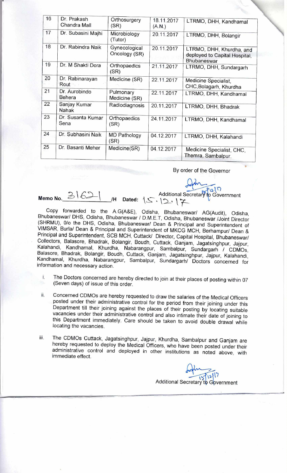| 16 | Dr. Prakash                    | Orthosurgery                |                      |                                                 |
|----|--------------------------------|-----------------------------|----------------------|-------------------------------------------------|
|    | Chandra Mall                   | (SR)                        | 18.11.2017<br>(A.N.) | LTRMO, DHH, Kandhamal                           |
| 17 | Dr. Subasini Majhi             | Microbiology<br>(Tutor)     | 20.11.2017           | LTRMO, DHH, Bolangir                            |
| 18 | Dr. Rabindra Naik              | Gynecological               | 20.11.2017           | LTRMO, DHH, Khurdha, and                        |
|    |                                | Oncology (SR)               |                      | deployed to Capital Hospital,<br>Bhubaneswar    |
| 19 | Dr. M Shakti Dora              | Orthopaedics<br>(SR)        | 21.11.2017           | LTRMO, DHH, Sundargarh                          |
| 20 | Dr. Rabinarayan<br>Rout        | Medicine (SR)               | 22.11.2017           | Medicine Specialist,<br>CHC, Bolagarh, Khurdha  |
| 21 | Dr. Aurobindo<br><b>Behera</b> | Pulmonary<br>Medicine (SR)  | 22.11.2017           | LTRMO, DHH, Kandhamal                           |
| 22 | Sanjay Kumar<br>Nahak          | Radiodiagnosis              | 20.11.2017           | LTRMO, DHH, Bhadrak                             |
| 23 | Dr. Susanta Kumar<br>Sena      | Orthopaedics<br>(SR)        | 24.11.2017           | LTRMO, DHH, Kandhamal                           |
| 24 | Dr. Subhasini Naik             | <b>MD Pathology</b><br>(SR) | 04.12.2017           | LTRMO, DHH, Kalahandi                           |
| 25 | Dr. Basanti Meher              | Medicine(SR)                | 04.12.2017           | Medicine Specialist, CHC,<br>Themra, Sambalpur. |

By order of the Governor

Memo No. 31621 /H Dated: 15.19.12

Copy forwarded to the A.G(A&E), Odisha, Bhubaneswar/ AG(Audit), Odisha, Bhubaneswar/ DHS, Odisha, Bhubaneswar / D.M.E.T, Odisha, Bhubaneswar /Joint Director (SHRMU), 0/o the DHS, Odisha, Bhubaneswar/ Dean & Principal and Superintendent of VIMSAR, Burla/ Dean & Principal and Superintendent of MKCG MCH, Berhampur/ Dean & Principal and Superintendent, SCB MCH, Cuttack/ Director, Capital Hospital, Bhubaneswar/ Collectors, Balasore, Bhadrak, Bolangir, Boudh, Cuttack, Ganjam, Jagatsinghpur, Jajpur, Kalahandi, Kandhamal, Khurdha, Nabarangpur, Sambalpur, Sundargarh / CDMOs, Balasore, Bhadrak, Bolangir, Boudh, Cuttack, Ganjam, Jagatsinghpur, Jajpur, Kalahandi, Kandhamal, Khurdha, Nabarangpur, Sambalpur, Sundargarh/ Doctors concerned for information and necessary action.

- i. The Doctors concerned are hereby directed to join at their places of posting within 07 (Seven days) of issue of this order.
- ii. Concerned CDMOs are hereby requested to draw the salaries of the Medical Officers posted under their administrative control for the period from their joining under this Department till their joining against the places of their posting by locating suitable vacancies under their administrative control and also intimate their date of joining to this Department immediately. Care should be taken to avoid double drawal while locating the vacancies.
- iii. The CDMOs Cuttack, Jagatsinghpur, Jajpur, Khurdha, Sambalpur and Ganjam are hereby requested to deploy the Medical Officers, who have been posted under their administrative control and deployed in other institutions as noted above, with immediate effect.

Additional Secretary to Government